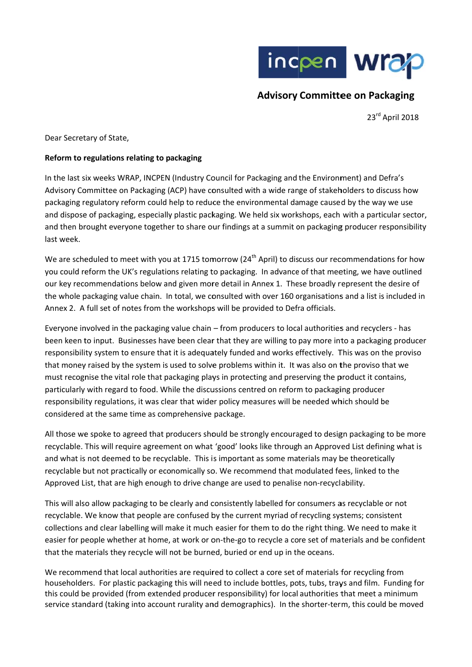

# **Advisory Committee on Packaging**

23rd April 2018

Dear Secretary of State,

## Reform to regulations relating to packaging

In the last six weeks WRAP, INCPEN (Industry Council for Packaging and the Environment) and Defra's Advisory Committee on Packaging (ACP) have consulted with a wide range of stakeholders to discuss how packaging regulatory reform could help to reduce the environmental damage caused by the way we use and dispose of packaging, especially plastic packaging. We held six workshops, each with a particular sector, and then brought everyone together to share our findings at a summit on packaging producer responsibility last week.

We are scheduled to meet with you at 1715 tomorrow (24<sup>th</sup> April) to discuss our recommendations for how you could reform the UK's regulations relating to packaging. In advance of that meeting, we have outlined our key recommendations below and given more detail in Annex 1. These broadly represent the desire of the whole packaging value chain. In total, we consulted with over 160 organisations and a list is included in Annex 2. A full set of notes from the workshops will be provided to Defra officials.

Everyone involved in the packaging value chain – from producers to local authorities and recyclers - has been keen to input. Businesses have been clear that they are willing to pay more into a packaging producer responsibility system to ensure that it is adequately funded and works effectively. This was on the proviso that money raised by the system is used to solve problems within it. It was also on the proviso that we must recognise the vital role that packaging plays in protecting and preserving the product it contains, particularly with regard to food. While the discussions centred on reform to packaging producer responsibility regulations, it was clear that wider policy measures will be needed which should be considered at the same time as comprehensive package.

All those we spoke to agreed that producers should be strongly encouraged to design packaging to be more recyclable. This will require agreement on what 'good' looks like through an Approved List defining what is and what is not deemed to be recyclable. This is important as some materials may be theoretically recyclable but not practically or economically so. We recommend that modulated fees, linked to the Approved List, that are high enough to drive change are used to penalise non-recyclability.

This will also allow packaging to be clearly and consistently labelled for consumers as recyclable or not recyclable. We know that people are confused by the current myriad of recycling systems; consistent collections and clear labelling will make it much easier for them to do the right thing. We need to make it easier for people whether at home, at work or on-the-go to recycle a core set of materials and be confident that the materials they recycle will not be burned, buried or end up in the oceans.

We recommend that local authorities are required to collect a core set of materials for recycling from householders. For plastic packaging this will need to include bottles, pots, tubs, trays and film. Funding for this could be provided (from extended producer responsibility) for local authorities that meet a minimum service standard (taking into account rurality and demographics). In the shorter-term, this could be moved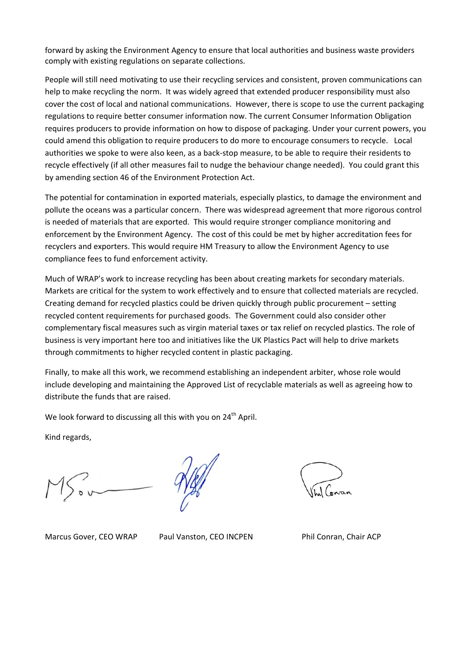forward by asking the Environment Agency to ensure that local authorities and business waste providers comply with existing regulations on separate collections.

People will still need motivating to use their recycling services and consistent, proven communications can help to make recycling the norm. It was widely agreed that extended producer responsibility must also cover the cost of local and national communications. However, there is scope to use the current packaging regulations to require better consumer information now. The current Consumer Information Obligation requires producers to provide information on how to dispose of packaging. Under your current powers, you could amend this obligation to require producers to do more to encourage consumers to recycle. Local authorities we spoke to were also keen, as a back‐stop measure, to be able to require their residents to recycle effectively (if all other measures fail to nudge the behaviour change needed). You could grant this by amending section 46 of the Environment Protection Act.

The potential for contamination in exported materials, especially plastics, to damage the environment and pollute the oceans was a particular concern. There was widespread agreement that more rigorous control is needed of materials that are exported. This would require stronger compliance monitoring and enforcement by the Environment Agency. The cost of this could be met by higher accreditation fees for recyclers and exporters. This would require HM Treasury to allow the Environment Agency to use compliance fees to fund enforcement activity.

Much of WRAP's work to increase recycling has been about creating markets for secondary materials. Markets are critical for the system to work effectively and to ensure that collected materials are recycled. Creating demand for recycled plastics could be driven quickly through public procurement – setting recycled content requirements for purchased goods. The Government could also consider other complementary fiscal measures such as virgin material taxes or tax relief on recycled plastics. The role of business is very important here too and initiatives like the UK Plastics Pact will help to drive markets through commitments to higher recycled content in plastic packaging.

Finally, to make all this work, we recommend establishing an independent arbiter, whose role would include developing and maintaining the Approved List of recyclable materials as well as agreeing how to distribute the funds that are raised.

We look forward to discussing all this with you on 24<sup>th</sup> April.

Kind regards,

Marcus Gover, CEO WRAP Paul Vanston, CEO INCPEN Phil Conran, Chair ACP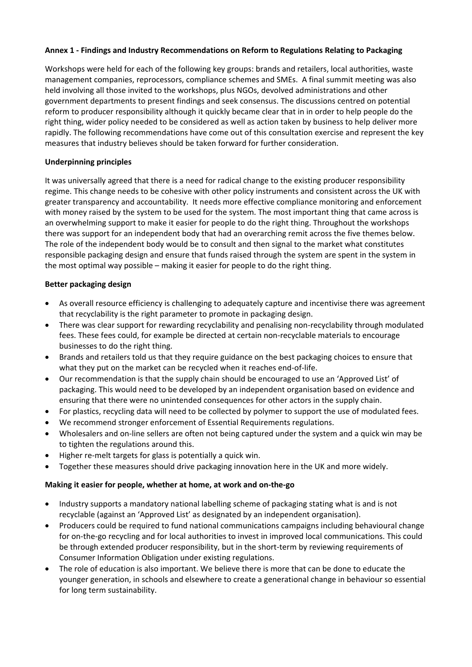## **Annex 1 ‐ Findings and Industry Recommendations on Reform to Regulations Relating to Packaging**

Workshops were held for each of the following key groups: brands and retailers, local authorities, waste management companies, reprocessors, compliance schemes and SMEs. A final summit meeting was also held involving all those invited to the workshops, plus NGOs, devolved administrations and other government departments to present findings and seek consensus. The discussions centred on potential reform to producer responsibility although it quickly became clear that in in order to help people do the right thing, wider policy needed to be considered as well as action taken by business to help deliver more rapidly. The following recommendations have come out of this consultation exercise and represent the key measures that industry believes should be taken forward for further consideration.

## **Underpinning principles**

It was universally agreed that there is a need for radical change to the existing producer responsibility regime. This change needs to be cohesive with other policy instruments and consistent across the UK with greater transparency and accountability. It needs more effective compliance monitoring and enforcement with money raised by the system to be used for the system. The most important thing that came across is an overwhelming support to make it easier for people to do the right thing. Throughout the workshops there was support for an independent body that had an overarching remit across the five themes below. The role of the independent body would be to consult and then signal to the market what constitutes responsible packaging design and ensure that funds raised through the system are spent in the system in the most optimal way possible – making it easier for people to do the right thing.

## **Better packaging design**

- As overall resource efficiency is challenging to adequately capture and incentivise there was agreement that recyclability is the right parameter to promote in packaging design.
- There was clear support for rewarding recyclability and penalising non-recyclability through modulated fees. These fees could, for example be directed at certain non‐recyclable materials to encourage businesses to do the right thing.
- Brands and retailers told us that they require guidance on the best packaging choices to ensure that what they put on the market can be recycled when it reaches end‐of‐life.
- Our recommendation is that the supply chain should be encouraged to use an 'Approved List' of packaging. This would need to be developed by an independent organisation based on evidence and ensuring that there were no unintended consequences for other actors in the supply chain.
- For plastics, recycling data will need to be collected by polymer to support the use of modulated fees.
- We recommend stronger enforcement of Essential Requirements regulations.
- Wholesalers and on-line sellers are often not being captured under the system and a quick win may be to tighten the regulations around this.
- Higher re-melt targets for glass is potentially a quick win.
- Together these measures should drive packaging innovation here in the UK and more widely.

#### **Making it easier for people, whether at home, at work and on‐the‐go**

- Industry supports a mandatory national labelling scheme of packaging stating what is and is not recyclable (against an 'Approved List' as designated by an independent organisation).
- Producers could be required to fund national communications campaigns including behavioural change for on-the-go recycling and for local authorities to invest in improved local communications. This could be through extended producer responsibility, but in the short-term by reviewing requirements of Consumer Information Obligation under existing regulations.
- The role of education is also important. We believe there is more that can be done to educate the younger generation, in schools and elsewhere to create a generational change in behaviour so essential for long term sustainability.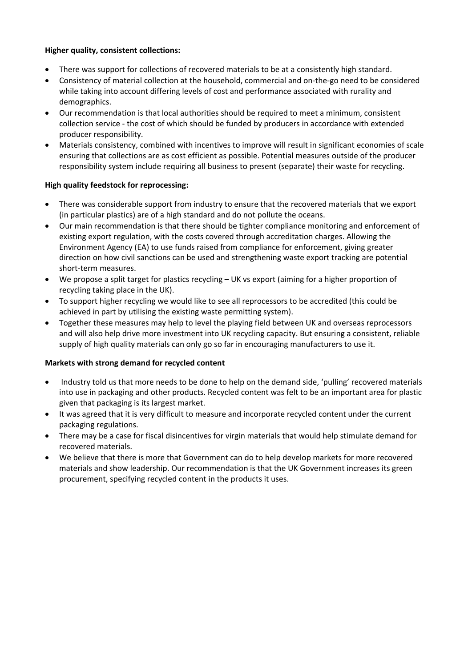## **Higher quality, consistent collections:**

- There was support for collections of recovered materials to be at a consistently high standard.
- Consistency of material collection at the household, commercial and on-the-go need to be considered while taking into account differing levels of cost and performance associated with rurality and demographics.
- Our recommendation is that local authorities should be required to meet a minimum, consistent collection service ‐ the cost of which should be funded by producers in accordance with extended producer responsibility.
- Materials consistency, combined with incentives to improve will result in significant economies of scale ensuring that collections are as cost efficient as possible. Potential measures outside of the producer responsibility system include requiring all business to present (separate) their waste for recycling.

## **High quality feedstock for reprocessing:**

- There was considerable support from industry to ensure that the recovered materials that we export (in particular plastics) are of a high standard and do not pollute the oceans.
- Our main recommendation is that there should be tighter compliance monitoring and enforcement of existing export regulation, with the costs covered through accreditation charges. Allowing the Environment Agency (EA) to use funds raised from compliance for enforcement, giving greater direction on how civil sanctions can be used and strengthening waste export tracking are potential short‐term measures.
- We propose a split target for plastics recycling UK vs export (aiming for a higher proportion of recycling taking place in the UK).
- To support higher recycling we would like to see all reprocessors to be accredited (this could be achieved in part by utilising the existing waste permitting system).
- Together these measures may help to level the playing field between UK and overseas reprocessors and will also help drive more investment into UK recycling capacity. But ensuring a consistent, reliable supply of high quality materials can only go so far in encouraging manufacturers to use it.

## **Markets with strong demand for recycled content**

- Industry told us that more needs to be done to help on the demand side, 'pulling' recovered materials into use in packaging and other products. Recycled content was felt to be an important area for plastic given that packaging is its largest market.
- It was agreed that it is very difficult to measure and incorporate recycled content under the current packaging regulations.
- There may be a case for fiscal disincentives for virgin materials that would help stimulate demand for recovered materials.
- We believe that there is more that Government can do to help develop markets for more recovered materials and show leadership. Our recommendation is that the UK Government increases its green procurement, specifying recycled content in the products it uses.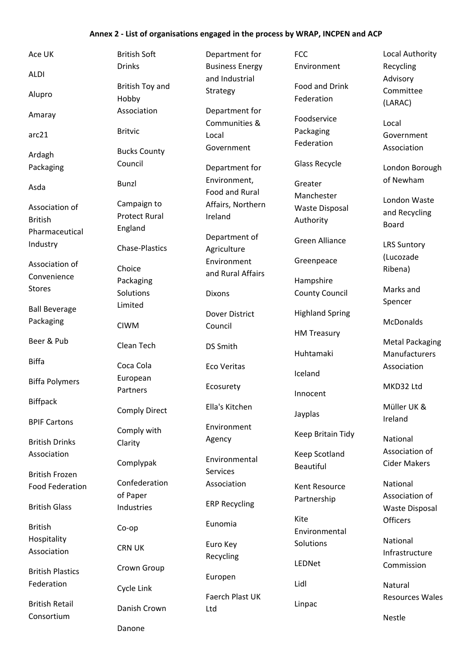#### **Annex 2 ‐ List of organisations engaged in the process by WRAP, INCPEN and ACP**

Ace UK ALDI Alupro Amaray arc21 Ardagh Packaging Asda Association of British Pharmaceutical Industry Association of Convenience Stores Ball Beverage Packaging Beer & Pub Biffa Biffa Polymers Biffpack BPIF Cartons British Drinks Association British Frozen Food Federation British Glass British Hospitality Association British Plastics Federation British Retail British Soft Drinks British Toy and Hobby Association Britvic Bucks County Council

Consortium

Bunzl Campaign to Protect Rural England Chase‐Plastics Choice Packaging Solutions Limited CIWM Clean Tech Coca Cola European Partners Comply Direct Comply with Clarity Complypak Confederation of Paper Industries Co‐op CRN UK Crown Group Cycle Link Danish Crown

Danone

Department for Business Energy and Industrial Strategy Department for Communities & Local Government Department for Environment, Food and Rural Affairs, Northern Ireland Department of Agriculture Environment and Rural Affairs Dixons Dover District Council DS Smith Eco Veritas Ecosurety Ella's Kitchen Environment Agency Environmental Services Association ERP Recycling Eunomia Euro Key Recycling Europen Faerch Plast UK Ltd

FCC Environment

Food and Drink Federation

Foodservice Packaging Federation

Glass Recycle

Greater Manchester Waste Disposal Authority

Green Alliance

Greenpeace

Hampshire County Council

Highland Spring

HM Treasury

Huhtamaki

Iceland

Innocent

Jayplas

Keep Britain Tidy

Keep Scotland Beautiful

Kent Resource Partnership

Kite Environmental Solutions

LEDNet

Lidl

Linpac

Local Authority Recycling Advisory Committee (LARAC)

Local Government Association

London Borough of Newham

London Waste and Recycling Board

LRS Suntory (Lucozade Ribena)

Marks and Spencer

McDonalds

Metal Packaging Manufacturers Association

MKD32 Ltd

Müller UK & Ireland

National Association of Cider Makers

National Association of Waste Disposal **Officers** 

National Infrastructure Commission

Natural Resources Wales

Nestle